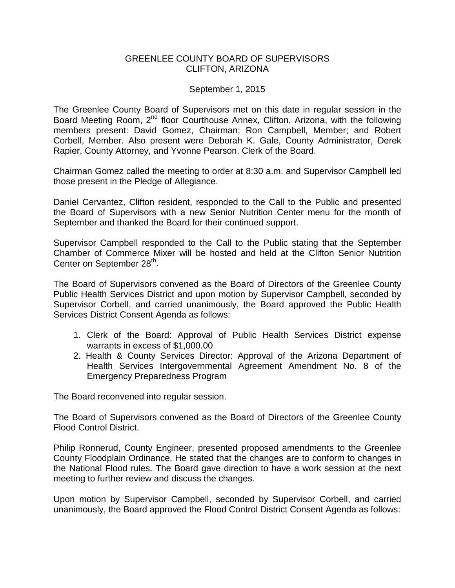# GREENLEE COUNTY BOARD OF SUPERVISORS CLIFTON, ARIZONA

# September 1, 2015

The Greenlee County Board of Supervisors met on this date in regular session in the Board Meeting Room, 2<sup>nd</sup> floor Courthouse Annex, Clifton, Arizona, with the following members present: David Gomez, Chairman; Ron Campbell, Member; and Robert Corbell, Member. Also present were Deborah K. Gale, County Administrator, Derek Rapier, County Attorney, and Yvonne Pearson, Clerk of the Board.

Chairman Gomez called the meeting to order at 8:30 a.m. and Supervisor Campbell led those present in the Pledge of Allegiance.

Daniel Cervantez, Clifton resident, responded to the Call to the Public and presented the Board of Supervisors with a new Senior Nutrition Center menu for the month of September and thanked the Board for their continued support.

Supervisor Campbell responded to the Call to the Public stating that the September Chamber of Commerce Mixer will be hosted and held at the Clifton Senior Nutrition Center on September 28<sup>th</sup>.

The Board of Supervisors convened as the Board of Directors of the Greenlee County Public Health Services District and upon motion by Supervisor Campbell, seconded by Supervisor Corbell, and carried unanimously, the Board approved the Public Health Services District Consent Agenda as follows:

- 1. Clerk of the Board: Approval of Public Health Services District expense warrants in excess of \$1,000.00
- 2. Health & County Services Director: Approval of the Arizona Department of Health Services Intergovernmental Agreement Amendment No. 8 of the Emergency Preparedness Program

The Board reconvened into regular session.

The Board of Supervisors convened as the Board of Directors of the Greenlee County Flood Control District.

Philip Ronnerud, County Engineer, presented proposed amendments to the Greenlee County Floodplain Ordinance. He stated that the changes are to conform to changes in the National Flood rules. The Board gave direction to have a work session at the next meeting to further review and discuss the changes.

Upon motion by Supervisor Campbell, seconded by Supervisor Corbell, and carried unanimously, the Board approved the Flood Control District Consent Agenda as follows: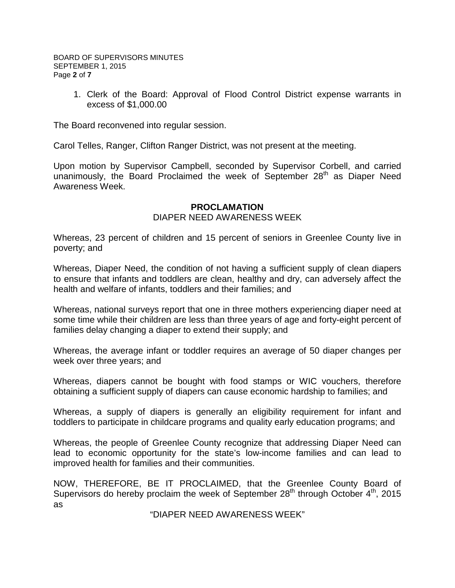1. Clerk of the Board: Approval of Flood Control District expense warrants in excess of \$1,000.00

The Board reconvened into regular session.

Carol Telles, Ranger, Clifton Ranger District, was not present at the meeting.

Upon motion by Supervisor Campbell, seconded by Supervisor Corbell, and carried unanimously, the Board Proclaimed the week of September  $28<sup>th</sup>$  as Diaper Need Awareness Week.

# **PROCLAMATION**

#### DIAPER NEED AWARENESS WEEK

Whereas, 23 percent of children and 15 percent of seniors in Greenlee County live in poverty; and

Whereas, Diaper Need, the condition of not having a sufficient supply of clean diapers to ensure that infants and toddlers are clean, healthy and dry, can adversely affect the health and welfare of infants, toddlers and their families; and

Whereas, national surveys report that one in three mothers experiencing diaper need at some time while their children are less than three years of age and forty-eight percent of families delay changing a diaper to extend their supply; and

Whereas, the average infant or toddler requires an average of 50 diaper changes per week over three years; and

Whereas, diapers cannot be bought with food stamps or WIC vouchers, therefore obtaining a sufficient supply of diapers can cause economic hardship to families; and

Whereas, a supply of diapers is generally an eligibility requirement for infant and toddlers to participate in childcare programs and quality early education programs; and

Whereas, the people of Greenlee County recognize that addressing Diaper Need can lead to economic opportunity for the state's low-income families and can lead to improved health for families and their communities.

NOW, THEREFORE, BE IT PROCLAIMED, that the Greenlee County Board of Supervisors do hereby proclaim the week of September  $28<sup>th</sup>$  through October  $4<sup>th</sup>$ , 2015 as

"DIAPER NEED AWARENESS WEEK"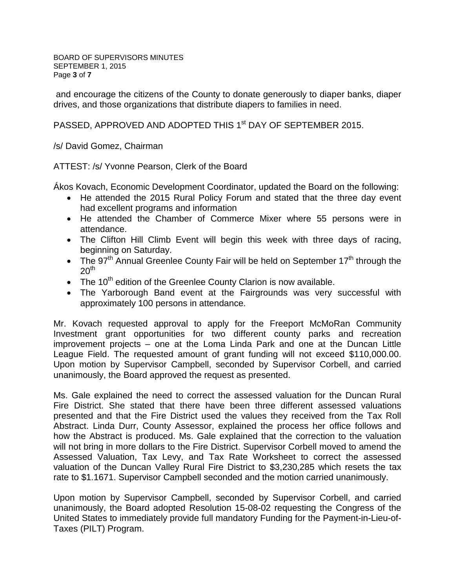BOARD OF SUPERVISORS MINUTES SEPTEMBER 1, 2015 Page **3** of **7**

and encourage the citizens of the County to donate generously to diaper banks, diaper drives, and those organizations that distribute diapers to families in need.

PASSED, APPROVED AND ADOPTED THIS 1<sup>st</sup> DAY OF SEPTEMBER 2015.

/s/ David Gomez, Chairman

ATTEST: /s/ Yvonne Pearson, Clerk of the Board

Ákos Kovach, Economic Development Coordinator, updated the Board on the following:

- He attended the 2015 Rural Policy Forum and stated that the three day event had excellent programs and information
- He attended the Chamber of Commerce Mixer where 55 persons were in attendance.
- The Clifton Hill Climb Event will begin this week with three days of racing, beginning on Saturday.
- The 97<sup>th</sup> Annual Greenlee County Fair will be held on September 17<sup>th</sup> through the  $20<sup>th</sup>$
- The 10<sup>th</sup> edition of the Greenlee County Clarion is now available.
- The Yarborough Band event at the Fairgrounds was very successful with approximately 100 persons in attendance.

Mr. Kovach requested approval to apply for the Freeport McMoRan Community Investment grant opportunities for two different county parks and recreation improvement projects – one at the Loma Linda Park and one at the Duncan Little League Field. The requested amount of grant funding will not exceed \$110,000.00. Upon motion by Supervisor Campbell, seconded by Supervisor Corbell, and carried unanimously, the Board approved the request as presented.

Ms. Gale explained the need to correct the assessed valuation for the Duncan Rural Fire District. She stated that there have been three different assessed valuations presented and that the Fire District used the values they received from the Tax Roll Abstract. Linda Durr, County Assessor, explained the process her office follows and how the Abstract is produced. Ms. Gale explained that the correction to the valuation will not bring in more dollars to the Fire District. Supervisor Corbell moved to amend the Assessed Valuation, Tax Levy, and Tax Rate Worksheet to correct the assessed valuation of the Duncan Valley Rural Fire District to \$3,230,285 which resets the tax rate to \$1.1671. Supervisor Campbell seconded and the motion carried unanimously.

Upon motion by Supervisor Campbell, seconded by Supervisor Corbell, and carried unanimously, the Board adopted Resolution 15-08-02 requesting the Congress of the United States to immediately provide full mandatory Funding for the Payment-in-Lieu-of-Taxes (PILT) Program.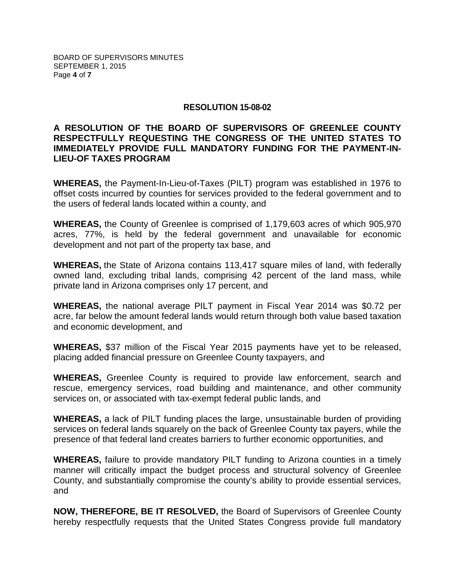### **RESOLUTION 15-08-02**

# **A RESOLUTION OF THE BOARD OF SUPERVISORS OF GREENLEE COUNTY RESPECTFULLY REQUESTING THE CONGRESS OF THE UNITED STATES TO IMMEDIATELY PROVIDE FULL MANDATORY FUNDING FOR THE PAYMENT-IN-LIEU-OF TAXES PROGRAM**

**WHEREAS,** the Payment-In-Lieu-of-Taxes (PILT) program was established in 1976 to offset costs incurred by counties for services provided to the federal government and to the users of federal lands located within a county, and

**WHEREAS,** the County of Greenlee is comprised of 1,179,603 acres of which 905,970 acres, 77%, is held by the federal government and unavailable for economic development and not part of the property tax base, and

**WHEREAS,** the State of Arizona contains 113,417 square miles of land, with federally owned land, excluding tribal lands, comprising 42 percent of the land mass, while private land in Arizona comprises only 17 percent, and

**WHEREAS,** the national average PILT payment in Fiscal Year 2014 was \$0.72 per acre, far below the amount federal lands would return through both value based taxation and economic development, and

**WHEREAS,** \$37 million of the Fiscal Year 2015 payments have yet to be released, placing added financial pressure on Greenlee County taxpayers, and

**WHEREAS,** Greenlee County is required to provide law enforcement, search and rescue, emergency services, road building and maintenance, and other community services on, or associated with tax-exempt federal public lands, and

**WHEREAS,** a lack of PILT funding places the large, unsustainable burden of providing services on federal lands squarely on the back of Greenlee County tax payers, while the presence of that federal land creates barriers to further economic opportunities, and

**WHEREAS,** failure to provide mandatory PILT funding to Arizona counties in a timely manner will critically impact the budget process and structural solvency of Greenlee County, and substantially compromise the county's ability to provide essential services, and

**NOW, THEREFORE, BE IT RESOLVED,** the Board of Supervisors of Greenlee County hereby respectfully requests that the United States Congress provide full mandatory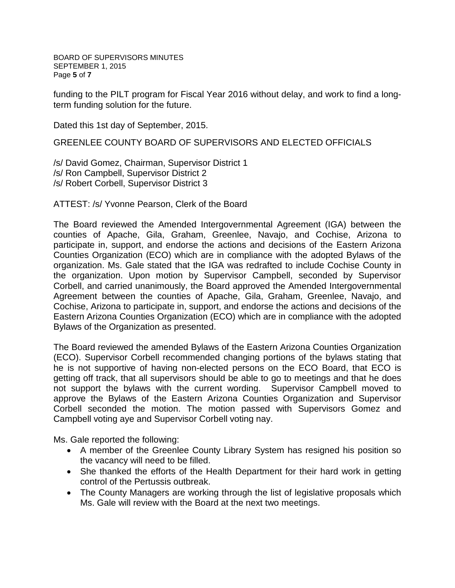BOARD OF SUPERVISORS MINUTES SEPTEMBER 1, 2015 Page **5** of **7**

funding to the PILT program for Fiscal Year 2016 without delay, and work to find a longterm funding solution for the future.

Dated this 1st day of September, 2015.

GREENLEE COUNTY BOARD OF SUPERVISORS AND ELECTED OFFICIALS

/s/ David Gomez, Chairman, Supervisor District 1 /s/ Ron Campbell, Supervisor District 2 /s/ Robert Corbell, Supervisor District 3

ATTEST: /s/ Yvonne Pearson, Clerk of the Board

The Board reviewed the Amended Intergovernmental Agreement (IGA) between the counties of Apache, Gila, Graham, Greenlee, Navajo, and Cochise, Arizona to participate in, support, and endorse the actions and decisions of the Eastern Arizona Counties Organization (ECO) which are in compliance with the adopted Bylaws of the organization. Ms. Gale stated that the IGA was redrafted to include Cochise County in the organization. Upon motion by Supervisor Campbell, seconded by Supervisor Corbell, and carried unanimously, the Board approved the Amended Intergovernmental Agreement between the counties of Apache, Gila, Graham, Greenlee, Navajo, and Cochise, Arizona to participate in, support, and endorse the actions and decisions of the Eastern Arizona Counties Organization (ECO) which are in compliance with the adopted Bylaws of the Organization as presented.

The Board reviewed the amended Bylaws of the Eastern Arizona Counties Organization (ECO). Supervisor Corbell recommended changing portions of the bylaws stating that he is not supportive of having non-elected persons on the ECO Board, that ECO is getting off track, that all supervisors should be able to go to meetings and that he does not support the bylaws with the current wording. Supervisor Campbell moved to approve the Bylaws of the Eastern Arizona Counties Organization and Supervisor Corbell seconded the motion. The motion passed with Supervisors Gomez and Campbell voting aye and Supervisor Corbell voting nay.

Ms. Gale reported the following:

- A member of the Greenlee County Library System has resigned his position so the vacancy will need to be filled.
- She thanked the efforts of the Health Department for their hard work in getting control of the Pertussis outbreak.
- The County Managers are working through the list of legislative proposals which Ms. Gale will review with the Board at the next two meetings.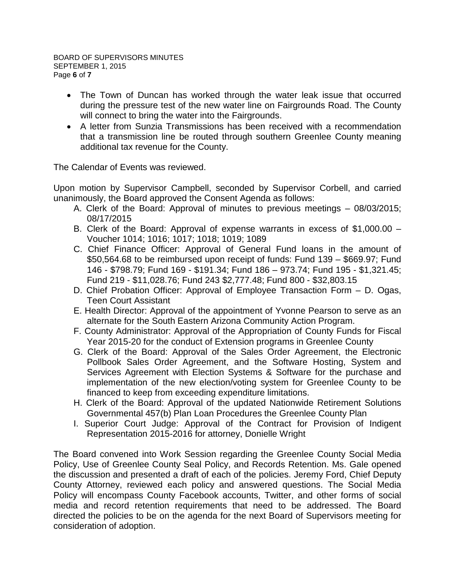- The Town of Duncan has worked through the water leak issue that occurred during the pressure test of the new water line on Fairgrounds Road. The County will connect to bring the water into the Fairgrounds.
- A letter from Sunzia Transmissions has been received with a recommendation that a transmission line be routed through southern Greenlee County meaning additional tax revenue for the County.

The Calendar of Events was reviewed.

Upon motion by Supervisor Campbell, seconded by Supervisor Corbell, and carried unanimously, the Board approved the Consent Agenda as follows:

- A. Clerk of the Board: Approval of minutes to previous meetings 08/03/2015; 08/17/2015
- B. Clerk of the Board: Approval of expense warrants in excess of \$1,000.00 Voucher 1014; 1016; 1017; 1018; 1019; 1089
- C. Chief Finance Officer: Approval of General Fund loans in the amount of \$50,564.68 to be reimbursed upon receipt of funds: Fund 139 – \$669.97; Fund 146 - \$798.79; Fund 169 - \$191.34; Fund 186 – 973.74; Fund 195 - \$1,321.45; Fund 219 - \$11,028.76; Fund 243 \$2,777.48; Fund 800 - \$32,803.15
- D. Chief Probation Officer: Approval of Employee Transaction Form D. Ogas, Teen Court Assistant
- E. Health Director: Approval of the appointment of Yvonne Pearson to serve as an alternate for the South Eastern Arizona Community Action Program.
- F. County Administrator: Approval of the Appropriation of County Funds for Fiscal Year 2015-20 for the conduct of Extension programs in Greenlee County
- G. Clerk of the Board: Approval of the Sales Order Agreement, the Electronic Pollbook Sales Order Agreement, and the Software Hosting, System and Services Agreement with Election Systems & Software for the purchase and implementation of the new election/voting system for Greenlee County to be financed to keep from exceeding expenditure limitations.
- H. Clerk of the Board: Approval of the updated Nationwide Retirement Solutions Governmental 457(b) Plan Loan Procedures the Greenlee County Plan
- I. Superior Court Judge: Approval of the Contract for Provision of Indigent Representation 2015-2016 for attorney, Donielle Wright

The Board convened into Work Session regarding the Greenlee County Social Media Policy, Use of Greenlee County Seal Policy, and Records Retention. Ms. Gale opened the discussion and presented a draft of each of the policies. Jeremy Ford, Chief Deputy County Attorney, reviewed each policy and answered questions. The Social Media Policy will encompass County Facebook accounts, Twitter, and other forms of social media and record retention requirements that need to be addressed. The Board directed the policies to be on the agenda for the next Board of Supervisors meeting for consideration of adoption.